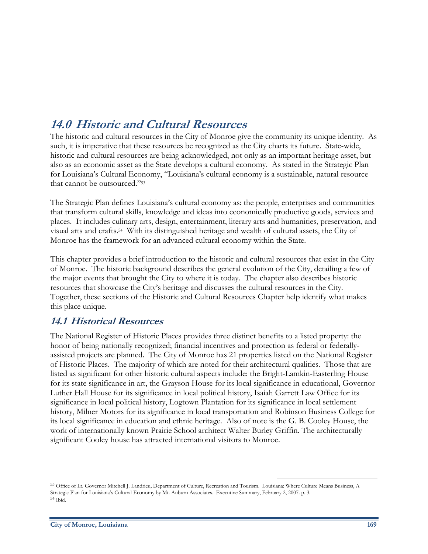# **14.0 Historic and Cultural Resources**

The historic and cultural resources in the City of Monroe give the community its unique identity. As such, it is imperative that these resources be recognized as the City charts its future. State-wide, historic and cultural resources are being acknowledged, not only as an important heritage asset, but also as an economic asset as the State develops a cultural economy. As stated in the Strategic Plan for Louisiana's Cultural Economy, "Louisiana's cultural economy is a sustainable, natural resource that cannot be outsourced."53

The Strategic Plan defines Louisiana's cultural economy as: the people, enterprises and communities that transform cultural skills, knowledge and ideas into economically productive goods, services and places. It includes culinary arts, design, entertainment, literary arts and humanities, preservation, and visual arts and crafts.54 With its distinguished heritage and wealth of cultural assets, the City of Monroe has the framework for an advanced cultural economy within the State.

This chapter provides a brief introduction to the historic and cultural resources that exist in the City of Monroe. The historic background describes the general evolution of the City, detailing a few of the major events that brought the City to where it is today. The chapter also describes historic resources that showcase the City's heritage and discusses the cultural resources in the City. Together, these sections of the Historic and Cultural Resources Chapter help identify what makes this place unique.

# **14.1 Historical Resources**

The National Register of Historic Places provides three distinct benefits to a listed property: the honor of being nationally recognized; financial incentives and protection as federal or federallyassisted projects are planned. The City of Monroe has 21 properties listed on the National Register of Historic Places. The majority of which are noted for their architectural qualities. Those that are listed as significant for other historic cultural aspects include: the Bright-Lamkin-Easterling House for its state significance in art, the Grayson House for its local significance in educational, Governor Luther Hall House for its significance in local political history, Isaiah Garrett Law Office for its significance in local political history, Logtown Plantation for its significance in local settlement history, Milner Motors for its significance in local transportation and Robinson Business College for its local significance in education and ethnic heritage. Also of note is the G. B. Cooley House, the work of internationally known Prairie School architect Walter Burley Griffin. The architecturally significant Cooley house has attracted international visitors to Monroe.

 $\overline{a}$ 

<sup>53</sup> Office of Lt. Governor Mitchell J. Landrieu, Department of Culture, Recreation and Tourism. Louisiana: Where Culture Means Business, A Strategic Plan for Louisiana's Cultural Economy by Mt. Auburn Associates. Executive Summary, February 2, 2007. p. 3. 54 Ibid.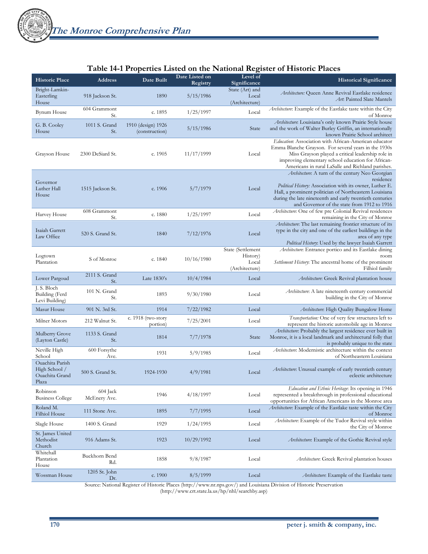#### **Table 14-1 Properties Listed on the National Register of Historic Places**

|                                                             |                          | <b>Table 11 11 repetites 21sted on the Franchia Register of Historic 1 faces</b> |                            |                                                          |                                                                                                                                                                                                                                                                                                |  |
|-------------------------------------------------------------|--------------------------|----------------------------------------------------------------------------------|----------------------------|----------------------------------------------------------|------------------------------------------------------------------------------------------------------------------------------------------------------------------------------------------------------------------------------------------------------------------------------------------------|--|
| <b>Historic Place</b>                                       | <b>Address</b>           | Date Built                                                                       | Date Listed on<br>Registry | Level of<br>Significance                                 | <b>Historical Significance</b>                                                                                                                                                                                                                                                                 |  |
| Bright-Lamkin-<br>Easterling<br>House                       | 918 Jackson St.          | 1890                                                                             | 5/15/1986                  | State (Art) and<br>Local<br>(Architecture)               | Architecture: Queen Anne Revival Eastlake residence<br>Art: Painted Slate Mantels                                                                                                                                                                                                              |  |
| <b>Bynum House</b>                                          | 604 Grammont<br>St.      | c. 1895                                                                          | 1/25/1997                  | Local                                                    | Architecture: Example of the Eastlake taste within the City<br>of Monroe                                                                                                                                                                                                                       |  |
| G. B. Cooley<br>House                                       | 1011 S. Grand<br>St.     | 1910 (design) 1926<br>(construction)                                             | 5/15/1986                  | State                                                    | Architecture: Louisiana's only known Prairie Style house<br>and the work of Walter Burley Griffin, an internationally<br>known Prairie School architect                                                                                                                                        |  |
| Grayson House                                               | 2300 DeSiard St.         | c. 1905                                                                          | 11/17/1999                 | Local                                                    | Education: Association with African-American educator<br>Emma Blanche Grayson. For several years in the 1930s<br>Miss Grayson played a critical leadership role in<br>improving elementary school education for African-<br>Americans in rural LaSalle and Richland parishes.                  |  |
| Governor<br>Luther Hall<br>House                            | 1515 Jackson St.         | c. $1906$                                                                        | 5/7/1979                   | Local                                                    | Architecture: A turn of the century Neo Georgian<br>residence<br>Political History: Association with its owner, Luther E.<br>Hall, a prominent politician of Northeastern Louisiana<br>during the late nineteenth and early twentieth centuries<br>and Governor of the state from 1912 to 1916 |  |
| Harvey House                                                | 608 Grammont<br>St.      | c. 1880                                                                          | 1/25/1997                  | Local                                                    | Architecture: One of few pre Colonial Revival residences<br>remaining in the City of Monroe                                                                                                                                                                                                    |  |
| Isaiah Garrett<br>Law Office                                | 520 S. Grand St.         | 1840                                                                             | 7/12/1976                  | Local                                                    | Architecture: The last remaining frontier structure of its<br>type in the city and one of the earliest buildings in the<br>area of any type<br>Political History: Used by the lawyer Isaiah Garrett                                                                                            |  |
| Logtown<br>Plantation                                       | S of Monroe              | c. 1840                                                                          | 10/16/1980                 | State (Settlement<br>History)<br>Local<br>(Architecture) | Architecture: Entrance portico and its Eastlake dining<br>room<br>Settlement History: The ancestral home of the prominent<br>Filhiol family                                                                                                                                                    |  |
| Lower Pargoud                                               | 2111 S. Grand<br>St.     | Late 1830's                                                                      | 10/4/1984                  | Local                                                    | Architecture: Greek Revival plantation house                                                                                                                                                                                                                                                   |  |
| J. S. Bloch<br>Building (Ferd<br>Levi Building)             | 101 N. Grand<br>St.      | 1893                                                                             | 9/30/1980                  | Local                                                    | Architecture: A late nineteenth century commercial<br>building in the City of Monroe                                                                                                                                                                                                           |  |
| Masur House                                                 | 901 N. 3rd St.           | 1914                                                                             | 7/22/1982                  | Local                                                    | Architecture: High Quality Bungalow Home                                                                                                                                                                                                                                                       |  |
| Milner Motors                                               | 212 Walnut St.           | $c. 1918$ (two-story<br>portion)                                                 | 7/25/2001                  | Local                                                    | Transportation: One of very few structures left to<br>represent the historic automobile age in Monroe                                                                                                                                                                                          |  |
| Mulberry Grove<br>(Layton Castle)                           | 1133 S. Grand<br>St.     | 1814                                                                             | 7/7/1978                   | State                                                    | Architecture: Probably the largest residence ever built in<br>Monroe, it is a local landmark and architectural folly that<br>is probably unique to the state                                                                                                                                   |  |
| Neville High<br>School                                      | 600 Forsythe<br>Ave.     | 1931                                                                             | 5/9/1985                   | Local                                                    | Architecture: Modernistic architecture within the context<br>of Northeastern Louisiana                                                                                                                                                                                                         |  |
| Ouachita Parish<br>High School /<br>Ouachita Grand<br>Plaza | 500 S. Grand St.         | 1924-1930                                                                        | 4/9/1981                   | Local                                                    | Architecture. Unusual example of early twentieth century<br>eclectic architecture                                                                                                                                                                                                              |  |
| Robinson<br><b>Business College</b>                         | 604 Jack<br>McEnery Ave. | 1946                                                                             | 4/18/1997                  | Local                                                    | Education and Ethnic Heritage: Its opening in 1946<br>represented a breakthrough in professional educational<br>opportunities for African Americans in the Monroe area                                                                                                                         |  |
| Roland M.<br>Filhiol House                                  | 111 Stone Ave.           | 1895                                                                             | 7/7/1995                   | Local                                                    | Architecture: Example of the Eastlake taste within the City<br>of Monroe                                                                                                                                                                                                                       |  |
| Slagle House                                                | 1400 S. Grand            | 1929                                                                             | 1/24/1995                  | Local                                                    | Architecture: Example of the Tudor Revival style within<br>the City of Monroe                                                                                                                                                                                                                  |  |
| St. James United<br>Methodist<br>Church                     | 916 Adams St.            | 1923                                                                             | 10/29/1992                 | Local                                                    | Architecture: Example of the Gothic Revival style                                                                                                                                                                                                                                              |  |
| Whitehall<br>Plantation<br>House                            | Buckhorn Bend<br>Rd.     | 1858                                                                             | 9/8/1987                   | Local                                                    | Architecture: Greek Revival plantation houses                                                                                                                                                                                                                                                  |  |
| Wossman House                                               | 1205 St. John<br>Dr.     | c. 1900                                                                          | 8/5/1999                   | Local                                                    | Architecture: Example of the Eastlake taste                                                                                                                                                                                                                                                    |  |

Source: National Register of Historic Places (http://www.nr.nps.gov/) and Louisiana Division of Historic Preservation (http://www.crt.state.la.us/hp/nhl/searchby.asp)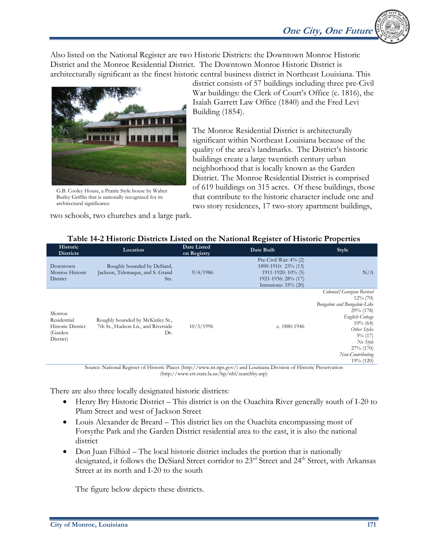Also listed on the National Register are two Historic Districts: the Downtown Monroe Historic District and the Monroe Residential District. The Downtown Monroe Historic District is architecturally significant as the finest historic central business district in Northeast Louisiana. This



G.B. Cooley House, a Prairie Style house by Walter Burley Griffin that is nationally recognized for its architectural significance

two schools, two churches and a large park.

district consists of 57 buildings including three pre-Civil War buildings: the Clerk of Court's Office (c. 1816), the Isaiah Garrett Law Office (1840) and the Fred Levi Building (1854).

The Monroe Residential District is architecturally significant within Northeast Louisiana because of the quality of the area's landmarks. The District's historic buildings create a large twentieth century urban neighborhood that is locally known as the Garden District. The Monroe Residential District is comprised of 619 buildings on 315 acres. Of these buildings, those that contribute to the historic character include one and two story residences, 17 two-story apartment buildings,

| Historic<br><b>Districts</b>                                              | Location                                                                                                                                                                                               | Date Listed<br>on Registry | Date Built                                                                                                                      | Style                                                                                                                                                                                                                       |
|---------------------------------------------------------------------------|--------------------------------------------------------------------------------------------------------------------------------------------------------------------------------------------------------|----------------------------|---------------------------------------------------------------------------------------------------------------------------------|-----------------------------------------------------------------------------------------------------------------------------------------------------------------------------------------------------------------------------|
| Downtown<br>Monroe Historic<br>District                                   | Roughly bounded by DeSiard,<br>Jackson, Telemaque, and S. Grand<br>Sts.                                                                                                                                | 9/4/1986                   | Pre-Civil War: $4\%$ (2)<br>1890-1910: 23% (13)<br>$1911 - 1920$ : $10\%$ (5)<br>1921-1936: 28% (17)<br>Intrusions: $35\%$ (20) | N/A                                                                                                                                                                                                                         |
| Monroe<br>Residential<br><b>Historic District</b><br>(Garden<br>District) | Roughly bounded by McKinley St.,<br>7th St., Hudson Ln., and Riverside<br>Dr.<br>Source: National Register of Historic Places (http://www.nr.nps.gov/) and Louisiana Division of Historic Preservation | 10/3/1996                  | c. 1880-1946                                                                                                                    | Colonial/ Georgian Revival<br>$12\% (70)$<br>Bungalow and Bungalow-Like<br>29% (178)<br><b>English Cottage</b><br>$10\%$ (64)<br>Other Styles<br>$3\%$ (17)<br>No Style<br>$27\% (170)$<br>Non-Contributing<br>$19\% (120)$ |

# **Table 14-2 Historic Districts Listed on the National Register of Historic Properties**

Source: National Register of Historic Places (http://www.nr.nps.gov/) and Louisiana Division of Historic Preservation (http://www.crt.state.la.us/hp/nhl/searchby.asp)

There are also three locally designated historic districts:

- Henry Bry Historic District This district is on the Ouachita River generally south of I-20 to Plum Street and west of Jackson Street
- Louis Alexander de Breard This district lies on the Ouachita encompassing most of Forsythe Park and the Garden District residential area to the east, it is also the national district
- Don Juan Filhiol The local historic district includes the portion that is nationally designated, it follows the DeSiard Street corridor to  $23<sup>rd</sup>$  Street and  $24<sup>th</sup>$  Street, with Arkansas Street at its north and I-20 to the south

The figure below depicts these districts.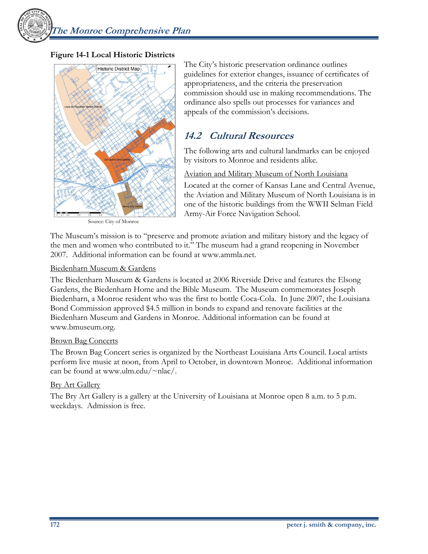**The Monroe Comprehensive Plan** 

## **Figure 14-1 Local Historic Districts**



Source: City of Monroe

The City's historic preservation ordinance outlines guidelines for exterior changes, issuance of certificates of appropriateness, and the criteria the preservation commission should use in making recommendations. The ordinance also spells out processes for variances and appeals of the commission's decisions.

# **14.2 Cultural Resources**

The following arts and cultural landmarks can be enjoyed by visitors to Monroe and residents alike.

#### Aviation and Military Museum of North Louisiana

Located at the corner of Kansas Lane and Central Avenue, the Aviation and Military Museum of North Louisiana is in one of the historic buildings from the WWII Selman Field Army-Air Force Navigation School.

The Museum's mission is to "preserve and promote aviation and military history and the legacy of the men and women who contributed to it." The museum had a grand reopening in November 2007. Additional information can be found at www.ammla.net.

#### Biedenharn Museum & Gardens

The Biedenharn Museum & Gardens is located at 2006 Riverside Drive and features the Elsong Gardens, the Biedenharn Home and the Bible Museum. The Museum commemorates Joseph Biedenharn, a Monroe resident who was the first to bottle Coca-Cola. In June 2007, the Louisiana Bond Commission approved \$4.5 million in bonds to expand and renovate facilities at the Biedenharn Museum and Gardens in Monroe. Additional information can be found at www.bmuseum.org.

#### Brown Bag Concerts

The Brown Bag Concert series is organized by the Northeast Louisiana Arts Council. Local artists perform live music at noon, from April to October, in downtown Monroe. Additional information can be found at www.ulm.edu/ $\nu$ nlac/.

## **Bry Art Gallery**

The Bry Art Gallery is a gallery at the University of Louisiana at Monroe open 8 a.m. to 5 p.m. weekdays. Admission is free.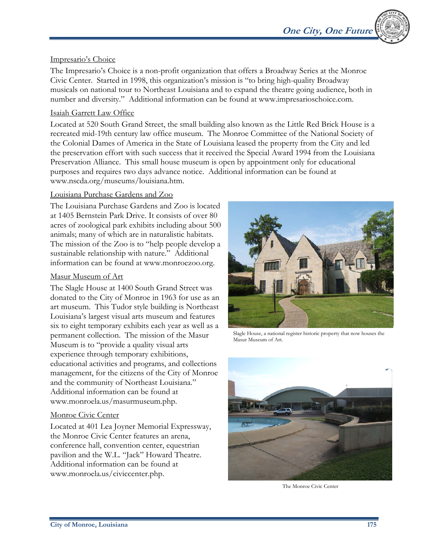# Impresario's Choice

The Impresario's Choice is a non-profit organization that offers a Broadway Series at the Monroe Civic Center. Started in 1998, this organization's mission is "to bring high-quality Broadway musicals on national tour to Northeast Louisiana and to expand the theatre going audience, both in number and diversity." Additional information can be found at www.impresarioschoice.com.

# Isaiah Garrett Law Office

Located at 520 South Grand Street, the small building also known as the Little Red Brick House is a recreated mid-19th century law office museum. The Monroe Committee of the National Society of the Colonial Dames of America in the State of Louisiana leased the property from the City and led the preservation effort with such success that it received the Special Award 1994 from the Louisiana Preservation Alliance. This small house museum is open by appointment only for educational purposes and requires two days advance notice. Additional information can be found at www.nscda.org/museums/louisiana.htm.

## Louisiana Purchase Gardens and Zoo

The Louisiana Purchase Gardens and Zoo is located at 1405 Bernstein Park Drive. It consists of over 80 acres of zoological park exhibits including about 500 animals; many of which are in naturalistic habitats. The mission of the Zoo is to "help people develop a sustainable relationship with nature." Additional information can be found at www.monroezoo.org.

## Masur Museum of Art

The Slagle House at 1400 South Grand Street was donated to the City of Monroe in 1963 for use as an art museum. This Tudor style building is Northeast Louisiana's largest visual arts museum and features six to eight temporary exhibits each year as well as a permanent collection. The mission of the Masur Museum is to "provide a quality visual arts experience through temporary exhibitions, educational activities and programs, and collections management, for the citizens of the City of Monroe and the community of Northeast Louisiana." Additional information can be found at www.monroela.us/masurmuseum.php.

## Monroe Civic Center

Located at 401 Lea Joyner Memorial Expressway, the Monroe Civic Center features an arena, conference hall, convention center, equestrian pavilion and the W.L. "Jack" Howard Theatre. Additional information can be found at www.monroela.us/civiccenter.php.



Slagle House, a national register historic property that now houses the Masur Museum of Art.



The Monroe Civic Center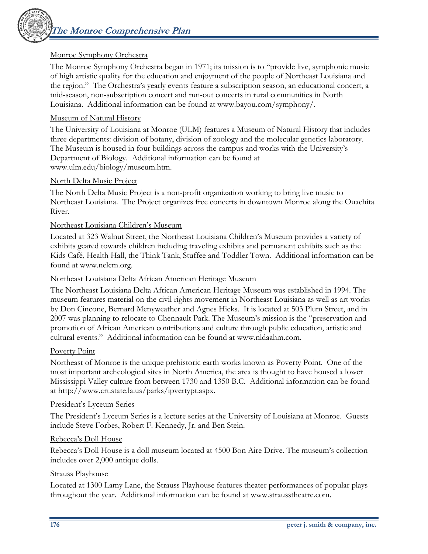# Monroe Symphony Orchestra

The Monroe Symphony Orchestra began in 1971; its mission is to "provide live, symphonic music of high artistic quality for the education and enjoyment of the people of Northeast Louisiana and the region." The Orchestra's yearly events feature a subscription season, an educational concert, a mid-season, non-subscription concert and run-out concerts in rural communities in North Louisiana. Additional information can be found at www.bayou.com/symphony/.

#### Museum of Natural History

The University of Louisiana at Monroe (ULM) features a Museum of Natural History that includes three departments: division of botany, division of zoology and the molecular genetics laboratory. The Museum is housed in four buildings across the campus and works with the University's Department of Biology. Additional information can be found at www.ulm.edu/biology/museum.htm.

#### North Delta Music Project

The North Delta Music Project is a non-profit organization working to bring live music to Northeast Louisiana. The Project organizes free concerts in downtown Monroe along the Ouachita River.

#### Northeast Louisiana Children's Museum

Located at 323 Walnut Street, the Northeast Louisiana Children's Museum provides a variety of exhibits geared towards children including traveling exhibits and permanent exhibits such as the Kids Café, Health Hall, the Think Tank, Stuffee and Toddler Town. Additional information can be found at www.nelcm.org.

#### Northeast Louisiana Delta African American Heritage Museum

The Northeast Louisiana Delta African American Heritage Museum was established in 1994. The museum features material on the civil rights movement in Northeast Louisiana as well as art works by Don Cincone, Bernard Menyweather and Agnes Hicks. It is located at 503 Plum Street, and in 2007 was planning to relocate to Chennault Park. The Museum's mission is the "preservation and promotion of African American contributions and culture through public education, artistic and cultural events." Additional information can be found at www.nldaahm.com.

#### Poverty Point

Northeast of Monroe is the unique prehistoric earth works known as Poverty Point. One of the most important archeological sites in North America, the area is thought to have housed a lower Mississippi Valley culture from between 1730 and 1350 B.C. Additional information can be found at http://www.crt.state.la.us/parks/ipvertypt.aspx.

#### President's Lyceum Series

The President's Lyceum Series is a lecture series at the University of Louisiana at Monroe. Guests include Steve Forbes, Robert F. Kennedy, Jr. and Ben Stein.

#### Rebecca's Doll House

Rebecca's Doll House is a doll museum located at 4500 Bon Aire Drive. The museum's collection includes over 2,000 antique dolls.

#### Strauss Playhouse

Located at 1300 Lamy Lane, the Strauss Playhouse features theater performances of popular plays throughout the year. Additional information can be found at www.strausstheatre.com.